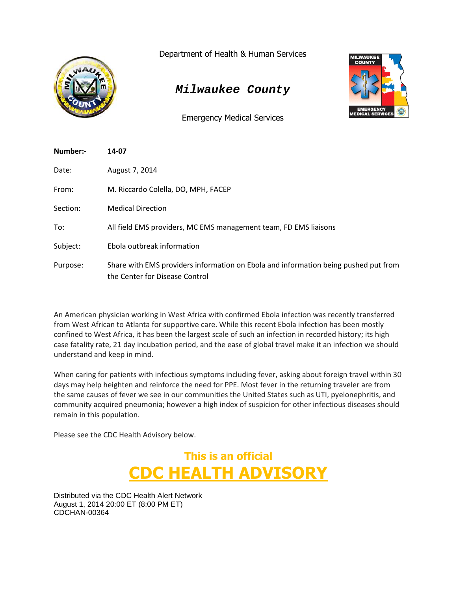

Department of Health & Human Services

# *Milwaukee County*

Emergency Medical Services



| Number:- | 14-07                                                                                                                 |
|----------|-----------------------------------------------------------------------------------------------------------------------|
| Date:    | August 7, 2014                                                                                                        |
| From:    | M. Riccardo Colella, DO, MPH, FACEP                                                                                   |
| Section: | <b>Medical Direction</b>                                                                                              |
| To:      | All field EMS providers, MC EMS management team, FD EMS liaisons                                                      |
| Subject: | Ebola outbreak information                                                                                            |
| Purpose: | Share with EMS providers information on Ebola and information being pushed put from<br>the Center for Disease Control |

An American physician working in West Africa with confirmed Ebola infection was recently transferred from West African to Atlanta for supportive care. While this recent Ebola infection has been mostly confined to West Africa, it has been the largest scale of such an infection in recorded history; its high case fatality rate, 21 day incubation period, and the ease of global travel make it an infection we should understand and keep in mind.

When caring for patients with infectious symptoms including fever, asking about foreign travel within 30 days may help heighten and reinforce the need for PPE. Most fever in the returning traveler are from the same causes of fever we see in our communities the United States such as UTI, pyelonephritis, and community acquired pneumonia; however a high index of suspicion for other infectious diseases should remain in this population.

Please see the CDC Health Advisory below.



Distributed via the CDC Health Alert Network August 1, 2014 20:00 ET (8:00 PM ET) CDCHAN-00364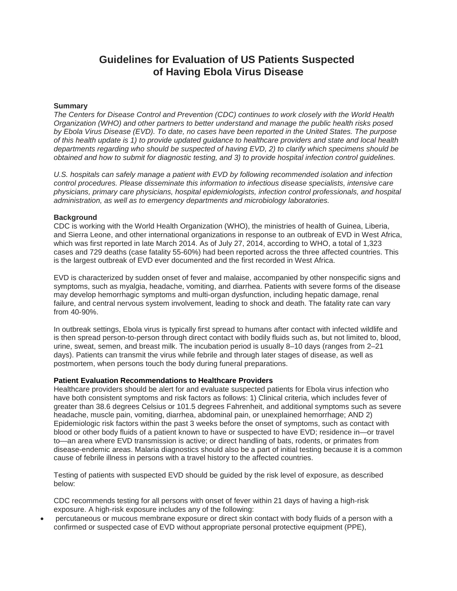## **Guidelines for Evaluation of US Patients Suspected of Having Ebola Virus Disease**

### **Summary**

*The Centers for Disease Control and Prevention (CDC) continues to work closely with the World Health Organization (WHO) and other partners to better understand and manage the public health risks posed by Ebola Virus Disease (EVD). To date, no cases have been reported in the United States. The purpose of this health update is 1) to provide updated guidance to healthcare providers and state and local health departments regarding who should be suspected of having EVD, 2) to clarify which specimens should be obtained and how to submit for diagnostic testing, and 3) to provide hospital infection control guidelines.*

*U.S. hospitals can safely manage a patient with EVD by following recommended isolation and infection control procedures. Please disseminate this information to infectious disease specialists, intensive care physicians, primary care physicians, hospital epidemiologists, infection control professionals, and hospital administration, as well as to emergency departments and microbiology laboratories.*

#### **Background**

CDC is working with the World Health Organization (WHO), the ministries of health of Guinea, Liberia, and Sierra Leone, and other international organizations in response to an outbreak of EVD in West Africa, which was first reported in late March 2014. As of July 27, 2014, according to WHO, a total of 1,323 cases and 729 deaths (case fatality 55-60%) had been reported across the three affected countries. This is the largest outbreak of EVD ever documented and the first recorded in West Africa.

EVD is characterized by sudden onset of fever and malaise, accompanied by other nonspecific signs and symptoms, such as myalgia, headache, vomiting, and diarrhea. Patients with severe forms of the disease may develop hemorrhagic symptoms and multi-organ dysfunction, including hepatic damage, renal failure, and central nervous system involvement, leading to shock and death. The fatality rate can vary from 40-90%.

In outbreak settings, Ebola virus is typically first spread to humans after contact with infected wildlife and is then spread person-to-person through direct contact with bodily fluids such as, but not limited to, blood, urine, sweat, semen, and breast milk. The incubation period is usually 8–10 days (ranges from 2–21 days). Patients can transmit the virus while febrile and through later stages of disease, as well as postmortem, when persons touch the body during funeral preparations.

## **Patient Evaluation Recommendations to Healthcare Providers**

Healthcare providers should be alert for and evaluate suspected patients for Ebola virus infection who have both consistent symptoms and risk factors as follows: 1) Clinical criteria, which includes fever of greater than 38.6 degrees Celsius or 101.5 degrees Fahrenheit, and additional symptoms such as severe headache, muscle pain, vomiting, diarrhea, abdominal pain, or unexplained hemorrhage; AND 2) Epidemiologic risk factors within the past 3 weeks before the onset of symptoms, such as contact with blood or other body fluids of a patient known to have or suspected to have EVD; residence in—or travel to—an area where EVD transmission is active; or direct handling of bats, rodents, or primates from disease-endemic areas. Malaria diagnostics should also be a part of initial testing because it is a common cause of febrile illness in persons with a travel history to the affected countries.

Testing of patients with suspected EVD should be guided by the risk level of exposure, as described below:

CDC recommends testing for all persons with onset of fever within 21 days of having a high-risk exposure. A high-risk exposure includes any of the following:

 percutaneous or mucous membrane exposure or direct skin contact with body fluids of a person with a confirmed or suspected case of EVD without appropriate personal protective equipment (PPE),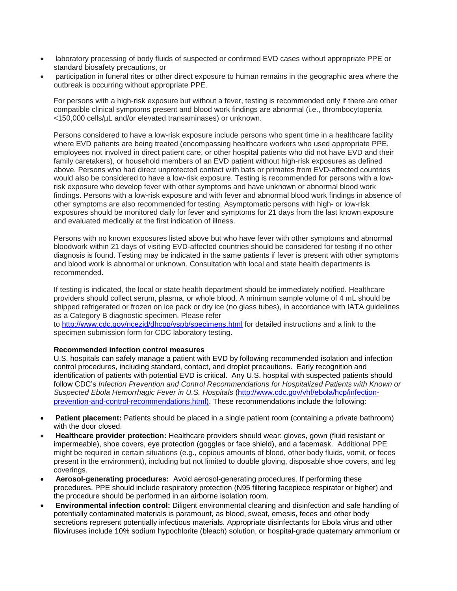- laboratory processing of body fluids of suspected or confirmed EVD cases without appropriate PPE or standard biosafety precautions, or
- participation in funeral rites or other direct exposure to human remains in the geographic area where the outbreak is occurring without appropriate PPE.

For persons with a high-risk exposure but without a fever, testing is recommended only if there are other compatible clinical symptoms present and blood work findings are abnormal (i.e., thrombocytopenia <150,000 cells/µL and/or elevated transaminases) or unknown.

Persons considered to have a low-risk exposure include persons who spent time in a healthcare facility where EVD patients are being treated (encompassing healthcare workers who used appropriate PPE, employees not involved in direct patient care, or other hospital patients who did not have EVD and their family caretakers), or household members of an EVD patient without high-risk exposures as defined above. Persons who had direct unprotected contact with bats or primates from EVD-affected countries would also be considered to have a low-risk exposure. Testing is recommended for persons with a lowrisk exposure who develop fever with other symptoms and have unknown or abnormal blood work findings. Persons with a low-risk exposure and with fever and abnormal blood work findings in absence of other symptoms are also recommended for testing. Asymptomatic persons with high- or low-risk exposures should be monitored daily for fever and symptoms for 21 days from the last known exposure and evaluated medically at the first indication of illness.

Persons with no known exposures listed above but who have fever with other symptoms and abnormal bloodwork within 21 days of visiting EVD-affected countries should be considered for testing if no other diagnosis is found. Testing may be indicated in the same patients if fever is present with other symptoms and blood work is abnormal or unknown. Consultation with local and state health departments is recommended.

If testing is indicated, the local or state health department should be immediately notified. Healthcare providers should collect serum, plasma, or whole blood. A minimum sample volume of 4 mL should be shipped refrigerated or frozen on ice pack or dry ice (no glass tubes), in accordance with IATA guidelines as a Category B diagnostic specimen. Please refer

to <http://www.cdc.gov/ncezid/dhcpp/vspb/specimens.html> for detailed instructions and a link to the specimen submission form for CDC laboratory testing.

## **Recommended infection control measures**

U.S. hospitals can safely manage a patient with EVD by following recommended isolation and infection control procedures, including standard, contact, and droplet precautions. Early recognition and identification of patients with potential EVD is critical. Any U.S. hospital with suspected patients should follow CDC's *Infection Prevention and Control Recommendations for Hospitalized Patients with Known or Suspected Ebola Hemorrhagic Fever in U.S. Hospitals* ([http://www.cdc.gov/vhf/ebola/hcp/infection](http://www.cdc.gov/vhf/ebola/hcp/infection-prevention-and-control-recommendations.html)[prevention-and-control-recommendations.html\)](http://www.cdc.gov/vhf/ebola/hcp/infection-prevention-and-control-recommendations.html). These recommendations include the following:

- **Patient placement:** Patients should be placed in a single patient room (containing a private bathroom) with the door closed.
- **Healthcare provider protection:** Healthcare providers should wear: gloves, gown (fluid resistant or impermeable), shoe covers, eye protection (goggles or face shield), and a facemask. Additional PPE might be required in certain situations (e.g., copious amounts of blood, other body fluids, vomit, or feces present in the environment), including but not limited to double gloving, disposable shoe covers, and leg coverings.
- **Aerosol-generating procedures:** Avoid aerosol-generating procedures. If performing these procedures, PPE should include respiratory protection (N95 filtering facepiece respirator or higher) and the procedure should be performed in an airborne isolation room.
- **Environmental infection control:** Diligent environmental cleaning and disinfection and safe handling of potentially contaminated materials is paramount, as blood, sweat, emesis, feces and other body secretions represent potentially infectious materials. Appropriate disinfectants for Ebola virus and other filoviruses include 10% sodium hypochlorite (bleach) solution, or hospital-grade quaternary ammonium or